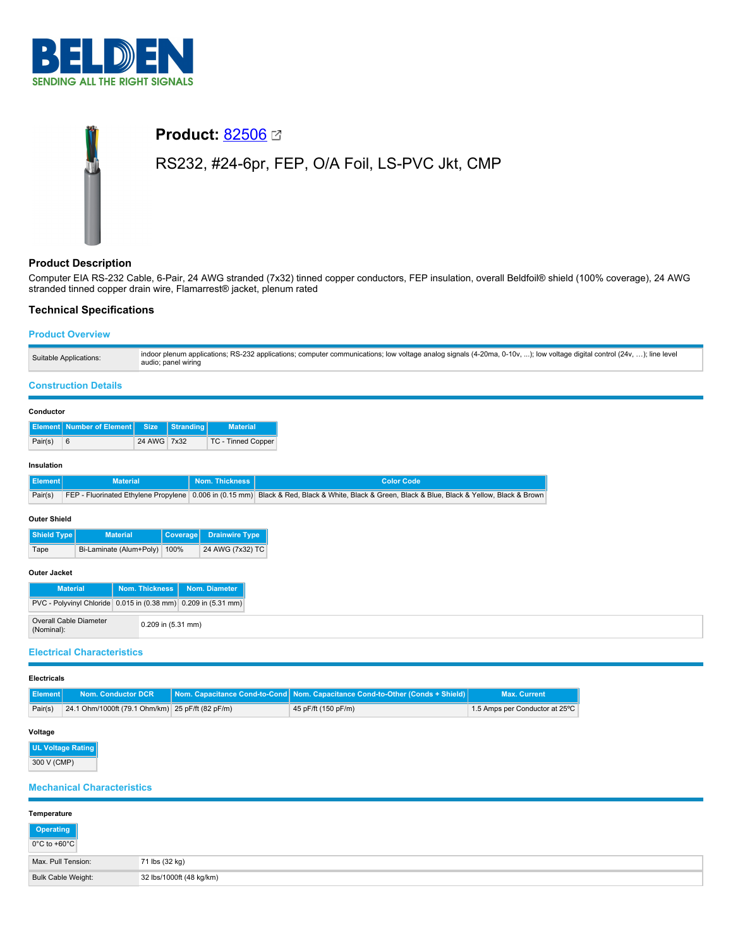



### **Product Description**

Computer EIA RS-232 Cable, 6-Pair, 24 AWG stranded (7x32) tinned copper conductors, FEP insulation, overall Beldfoil® shield (100% coverage), 24 AWG stranded tinned copper drain wire, Flamarrest® jacket, plenum rated

## **Technical Specifications**

### **Product Overview**

| Suitable Applications: | indoor plenum applications; RS-232 applications; computer communications; low voltage analog signals (4-20ma, 0-10v, ); low voltage digital control (24v, ); line level<br>audio; panel wiring |
|------------------------|------------------------------------------------------------------------------------------------------------------------------------------------------------------------------------------------|
|                        |                                                                                                                                                                                                |

# **Construction Details**

| Conductor |
|-----------|
|-----------|

|         | Element Number of Element Size Stranding |             | <b>Material</b>    |
|---------|------------------------------------------|-------------|--------------------|
| Pair(s) | $\sqrt{6}$                               | 24 AWG 7x32 | TC - Tinned Copper |

### **Insulation**

|                  | <b>Material</b> | <b>Nom. Thickness</b> | <b>Color Code</b>                                                                                                                              |
|------------------|-----------------|-----------------------|------------------------------------------------------------------------------------------------------------------------------------------------|
| Pair(s)          |                 |                       | FEP - Fluorinated Ethylene Propylene 0.006 in (0.15 mm) Black & Red, Black & White, Black & Green, Black & Blue, Black & Yellow, Black & Brown |
| Outside Chiefeld |                 |                       |                                                                                                                                                |

#### **Outer Shield**

| Shield Type | <b>Material</b>              | Coverage   Drainwire Type |
|-------------|------------------------------|---------------------------|
| Tape        | Bi-Laminate (Alum+Poly) 100% | 24 AWG (7x32) TC          |

### **Outer Jacket**

| <b>Material</b>                                                |                      | Nom. Thickness   Nom. Diameter |
|----------------------------------------------------------------|----------------------|--------------------------------|
| PVC - Polyvinyl Chloride 0.015 in (0.38 mm) 0.209 in (5.31 mm) |                      |                                |
| Overall Cable Diameter<br>(Nominal):                           | $0.209$ in (5.31 mm) |                                |

### **Electrical Characteristics**

#### **Electricals**

| <b>Element</b> |                                                  | Nom. Conductor DCR Nom. Capacitance Cond-to-Cond Nom. Capacitance Cond-to-Other (Conds + Shield) | Max. Current                   |
|----------------|--------------------------------------------------|--------------------------------------------------------------------------------------------------|--------------------------------|
| Pair(s)        | 24.1 Ohm/1000ft (79.1 Ohm/km) 25 pF/ft (82 pF/m) | 45 pF/ft (150 pF/m)                                                                              | 1.5 Amps per Conductor at 25°C |

#### **Voltage**

| UL Voltage Rating |  |
|-------------------|--|
| 300 V (CMP)       |  |

### **Mechanical Characteristics**

| Temperature               |                          |
|---------------------------|--------------------------|
| Operating<br>0°C to +60°C |                          |
| Max. Pull Tension:        | 71 lbs (32 kg)           |
| <b>Bulk Cable Weight:</b> | 32 lbs/1000ft (48 kg/km) |